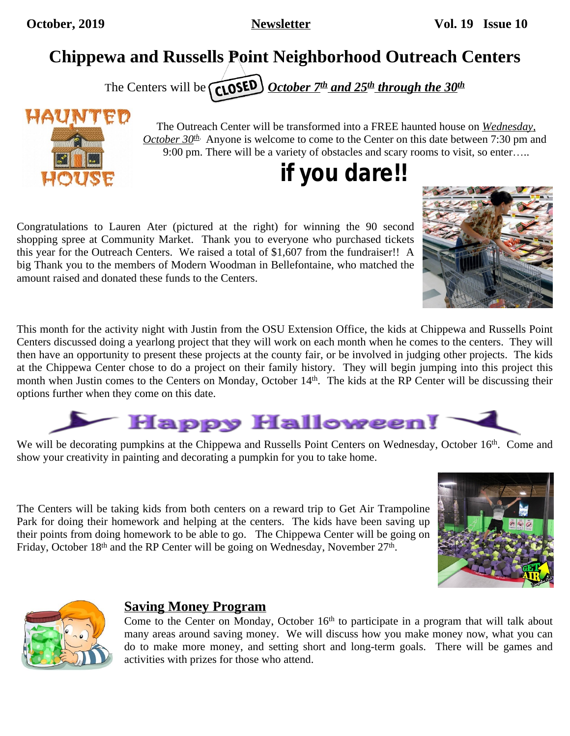## **Chippewa and Russells Point Neighborhood Outreach Centers**

The Centers will be *CLOSED* October 7<sup>th</sup> and 25<sup>th</sup> through the 30<sup>th</sup>



The Outreach Center will be transformed into a FREE haunted house on *Wednesday, October 30th*. Anyone is welcome to come to the Center on this date between 7:30 pm and 9:00 pm. There will be a variety of obstacles and scary rooms to visit, so enter…..

## *if you dare!!*

Congratulations to Lauren Ater (pictured at the right) for winning the 90 second shopping spree at Community Market. Thank you to everyone who purchased tickets this year for the Outreach Centers. We raised a total of \$1,607 from the fundraiser!! A big Thank you to the members of Modern Woodman in Bellefontaine, who matched the amount raised and donated these funds to the Centers.

This month for the activity night with Justin from the OSU Extension Office, the kids at Chippewa and Russells Point Centers discussed doing a yearlong project that they will work on each month when he comes to the centers. They will then have an opportunity to present these projects at the county fair, or be involved in judging other projects. The kids at the Chippewa Center chose to do a project on their family history. They will begin jumping into this project this month when Justin comes to the Centers on Monday, October 14<sup>th</sup>. The kids at the RP Center will be discussing their options further when they come on this date.



We will be decorating pumpkins at the Chippewa and Russells Point Centers on Wednesday, October 16<sup>th</sup>. Come and show your creativity in painting and decorating a pumpkin for you to take home.

The Centers will be taking kids from both centers on a reward trip to Get Air Trampoline Park for doing their homework and helping at the centers. The kids have been saving up their points from doing homework to be able to go. The Chippewa Center will be going on Friday, October 18<sup>th</sup> and the RP Center will be going on Wednesday, November 27<sup>th</sup>.





## **Saving Money Program**

Come to the Center on Monday, October 16<sup>th</sup> to participate in a program that will talk about many areas around saving money. We will discuss how you make money now, what you can do to make more money, and setting short and long-term goals. There will be games and activities with prizes for those who attend.